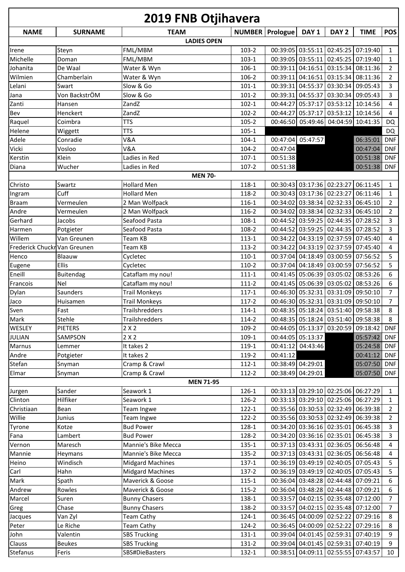| <b>2019 FNB Otjihavera</b>   |                          |                         |                |          |                                        |                                                                   |                      |                                  |
|------------------------------|--------------------------|-------------------------|----------------|----------|----------------------------------------|-------------------------------------------------------------------|----------------------|----------------------------------|
| <b>NAME</b>                  | <b>SURNAME</b>           | <b>TEAM</b>             | <b>NUMBER</b>  | Prologue | DAY <sub>1</sub>                       | DAY <sub>2</sub>                                                  | <b>TIME</b>          | <b>POS</b>                       |
|                              |                          | <b>LADIES OPEN</b>      |                |          |                                        |                                                                   |                      |                                  |
| Irene                        | Steyn                    | FML/MBM                 | 103-2          |          |                                        | 00:39:05 03:55:11 02:45:25 07:19:40                               |                      | $\mathbf{1}$                     |
| Michelle                     | Doman                    | FML/MBM                 | $103-1$        |          |                                        | 00:39:05 03:55:11 02:45:25                                        | 07:19:40             | $\mathbf{1}$                     |
| Johanita                     | De Waal                  | Water & Wyn             | 106-1          |          |                                        | 00:39:11 04:16:51 03:15:34                                        | 08:11:36             | $\overline{2}$                   |
| Wilmien                      | Chamberlain              | Water & Wyn             | 106-2          |          |                                        | 00:39:11 04:16:51 03:15:34                                        | 08:11:36             | $\overline{2}$                   |
| Lelani                       | Swart                    | Slow & Go               | $101-1$        |          |                                        | 00:39:31 04:55:37 03:30:34                                        | 09:05:43             | 3                                |
| Jana                         | Von BackstrÖM            | Slow & Go               | $101 - 2$      |          |                                        | 00:39:31 04:55:37 03:30:34                                        | 09:05:43             | 3                                |
| Zanti                        | Hansen                   | ZandZ                   | $102 - 1$      |          | 00:44:27 05:37:17                      | 03:53:12                                                          | 10:14:56             | 4                                |
| Bev                          | Henckert                 | ZandZ                   | $102 - 2$      |          | 00:44:27 05:37:17                      | 03:53:12 10:14:56                                                 |                      | 4                                |
| Raquel                       | Coimbra                  | <b>TTS</b>              | $105 - 2$      |          |                                        | 00:46:50 05:49:46 04:04:59 10:41:35                               |                      | <b>DQ</b>                        |
| Helene                       | Wiggett                  | <b>TTS</b>              | $105 - 1$      |          |                                        |                                                                   |                      | DQ                               |
| Adele                        | Conradie                 | V&A                     | $104-1$        |          | 00:47:04 05:47:57                      |                                                                   | 06:35:01             | <b>DNF</b>                       |
| Vicki                        | Vosloo                   | V&A                     | 104-2          | 00:47:04 |                                        |                                                                   | 00:47:04             | <b>DNF</b>                       |
| Kerstin                      | Klein                    | Ladies in Red           | $107-1$        | 00:51:38 |                                        |                                                                   | 00:51:38             | <b>DNF</b>                       |
| Diana                        | Wucher                   | Ladies in Red           | $107 - 2$      | 00:51:38 |                                        |                                                                   | 00:51:38             | <b>DNF</b>                       |
|                              |                          | <b>MEN 70-</b>          |                |          |                                        |                                                                   |                      |                                  |
| Christo                      | Swartz                   | <b>Hollard Men</b>      | 118-1          |          |                                        | 00:30:43 03:17:36 02:23:27                                        | 06:11:45             | 1                                |
| Ingram                       | Cuff                     | <b>Hollard Men</b>      | 118-2          |          |                                        | 00:30:43 03:17:36 02:23:27                                        | 06:11:46             | $\mathbf{1}$                     |
| <b>Braam</b>                 | Vermeulen                | 2 Man Wolfpack          | 116-1          |          |                                        | 00:34:02 03:38:34 02:32:33                                        | 06:45:10             | $\overline{2}$                   |
| Andre                        | Vermeulen                | 2 Man Wolfpack          | 116-2          |          |                                        | 00:34:02 03:38:34 02:32:33                                        | 06:45:10             | $\overline{2}$                   |
| Gerhard                      | Jacobs                   | Seafood Pasta           | $108-1$        |          |                                        | 00:44:52 03:59:25 02:44:35                                        | 07:28:52             | 3                                |
| Harmen                       | Potgieter                | Seafood Pasta           | 108-2          |          |                                        | 00:44:52 03:59:25 02:44:35                                        | 07:28:52             | 3                                |
| Willem                       | Van Greunen              | Team KB                 | 113-1          |          |                                        | 00:34:22 04:33:19 02:37:59                                        | 07:45:40             | 4                                |
| Frederick Chuckr Van Greunen |                          | Team KB                 | 113-2          |          |                                        | 00:34:22 04:33:19 02:37:59                                        | 07:45:40             | 4                                |
| Henco                        | Blaauw                   | Cycletec                | $110-1$        |          |                                        | 00:37:04 04:18:49 03:00:59 07:56:52                               |                      | 5                                |
| Eugene                       | Ellis                    | Cycletec                | 110-2          |          |                                        | 00:37:04 04:18:49 03:00:59                                        | 07:56:52             | 5                                |
| Eneill                       | <b>Buitendag</b>         | Cataflam my nou!        | $111 - 1$      |          |                                        | 00:41:45 05:06:39 03:05:02                                        | 08:53:26             | 6                                |
| Francois                     | Nel                      | Cataflam my nou!        | 111-2          |          |                                        | 00:41:45 05:06:39 03:05:02                                        | 08:53:26             | 6                                |
| Dylan                        | Saunders                 | <b>Trail Monkeys</b>    | $117 - 1$      |          |                                        | 00:46:30 05:32:31 03:31:09                                        | 09:50:10             | $\overline{7}$<br>$\overline{7}$ |
| Jaco<br>Sven                 | Huisamen<br>Fast         | <b>Trail Monkeys</b>    | $117-2$        |          |                                        | 00:46:30 05:32:31 03:31:09 09:50:10                               |                      |                                  |
|                              |                          | Trailshredders          | $114 - 1$      |          |                                        | 00:48:35 05:18:24 03:51:40 09:58:38                               |                      | 8                                |
| Mark                         | Stehle<br><b>PIETERS</b> | Trailshredders          | 114-2          |          |                                        | 00:48:35 05:18:24 03:51:40 09:58:38<br>00:44:05 05:13:37 03:20:59 |                      | 8                                |
| WESLEY                       | SAMPSON                  | 2X2<br>2X2              | 109-2          |          |                                        |                                                                   | 09:18:42<br>05:57:42 | <b>DNF</b>                       |
| <b>JULIAN</b><br>Marnus      |                          | It takes 2              | 109-1<br>119-1 |          | 00:44:05 05:13:37<br>00:41:12 04:43:46 |                                                                   | 05:24:58             | <b>DNF</b><br><b>DNF</b>         |
| Andre                        | Lemmer<br>Potgieter      | It takes 2              | 119-2          | 00:41:12 |                                        |                                                                   | 00:41:12             | <b>DNF</b>                       |
| Stefan                       | Snyman                   | Cramp & Crawl           | $112 - 1$      |          | 00:38:49 04:29:01                      |                                                                   | 05:07:50             | <b>DNF</b>                       |
| Elmar                        | Snyman                   | Cramp & Crawl           | 112-2          |          | 00:38:49 04:29:01                      |                                                                   | 05:07:50             | <b>DNF</b>                       |
|                              |                          | <b>MEN 71-95</b>        |                |          |                                        |                                                                   |                      |                                  |
| Jurgen                       | Sander                   | Seawork 1               | 126-1          |          |                                        | 00:33:13 03:29:10 02:25:06 06:27:29                               |                      | $\mathbf{1}$                     |
| Clinton                      | Hilfiker                 | Seawork 1               | 126-2          |          |                                        | 00:33:13 03:29:10 02:25:06 06:27:29                               |                      | $\mathbf{1}$                     |
| Christiaan                   | Bean                     | Team Ingwe              | 122-1          |          |                                        | 00:35:56 03:30:53 02:32:49 06:39:38                               |                      | $\overline{2}$                   |
| Willie                       | Junius                   | Team Ingwe              | 122-2          |          |                                        | 00:35:56 03:30:53 02:32:49 06:39:38                               |                      | $\overline{2}$                   |
| Tyrone                       | Kotze                    | <b>Bud Power</b>        | 128-1          |          |                                        | 00:34:20 03:36:16 02:35:01 06:45:38                               |                      | 3                                |
| Fana                         | Lambert                  | <b>Bud Power</b>        | 128-2          |          |                                        | 00:34:20 03:36:16 02:35:01 06:45:38                               |                      | 3                                |
| Vernon                       | Maresch                  | Mannie's Bike Mecca     | $135 - 1$      |          |                                        | 00:37:13 03:43:31 02:36:05 06:56:48                               |                      | 4                                |
| Mannie                       | Heymans                  | Mannie's Bike Mecca     | 135-2          |          |                                        | 00:37:13 03:43:31 02:36:05 06:56:48                               |                      | 4                                |
| Heino                        | Windisch                 | <b>Midgard Machines</b> | 137-1          |          |                                        | 00:36:19 03:49:19 02:40:05 07:05:43                               |                      | 5                                |
| Carl                         | Hahn                     | <b>Midgard Machines</b> | 137-2          |          |                                        | 00:36:19 03:49:19 02:40:05 07:05:43                               |                      | 5                                |
| Mark                         | Spath                    | Maverick & Goose        | $115 - 1$      |          |                                        | 00:36:04 03:48:28 02:44:48 07:09:21                               |                      | 6                                |
| Andrew                       | Rowles                   | Maverick & Goose        | 115-2          |          |                                        | 00:36:04 03:48:28 02:44:48 07:09:21                               |                      | 6                                |
| Marcel                       | Suren                    | <b>Bunny Chasers</b>    | 138-1          |          |                                        | 00:33:57 04:02:15 02:35:48 07:12:00                               |                      | $\overline{7}$                   |
| Greg                         | Chase                    | <b>Bunny Chasers</b>    | 138-2          |          |                                        | 00:33:57 04:02:15 02:35:48 07:12:00                               |                      | $\overline{7}$                   |
| Jacques                      | Van Zyl                  | <b>Team Cathy</b>       | 124-1          |          |                                        | 00:36:45 04:00:09 02:52:22 07:29:16                               |                      | 8                                |
| Peter                        | Le Riche                 | <b>Team Cathy</b>       | 124-2          |          |                                        | 00:36:45 04:00:09 02:52:22 07:29:16                               |                      | 8                                |
| John                         | Valentin                 | <b>SBS Trucking</b>     | $131 - 1$      |          |                                        | 00:39:04 04:01:45 02:59:31 07:40:19                               |                      | 9                                |
| Clauss                       | <b>Beukes</b>            | <b>SBS Trucking</b>     | 131-2          |          |                                        | 00:39:04 04:01:45 02:59:31 07:40:19                               |                      | 9                                |
| Stefanus                     | Feris                    | SBS#DieBasters          | 132-1          |          |                                        | 00:38:51 04:09:11 02:55:55 07:43:57                               |                      | 10                               |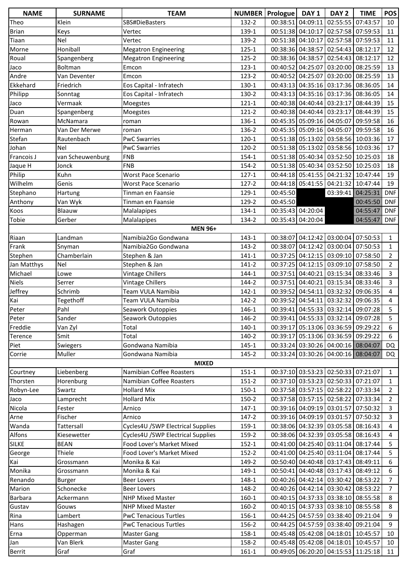| <b>NAME</b>  | <b>SURNAME</b>   | <b>TEAM</b>                       |           | NUMBER   Prologue   DAY 1 |                   | DAY <sub>2</sub>                    | <b>TIME</b> | <b>POS</b>     |
|--------------|------------------|-----------------------------------|-----------|---------------------------|-------------------|-------------------------------------|-------------|----------------|
| Theo         | Klein            | SBS#DieBasters                    | 132-2     |                           | 00:38:51 04:09:11 | 02:55:55 07:43:57                   |             | 10             |
| <b>Brian</b> | Keys             | Vertec                            | 139-1     |                           |                   | 00:51:38 04:10:17 02:57:58 07:59:53 |             | 11             |
| Tiaan        | Nel              | Vertec                            | 139-2     |                           | 00:51:38 04:10:17 | 02:57:58 07:59:53                   |             | 11             |
| Morne        | Honiball         | <b>Megatron Engineering</b>       | 125-1     |                           | 00:38:36 04:38:57 | 02:54:43 08:12:17                   |             | 12             |
| Roual        | Spangenberg      | <b>Megatron Engineering</b>       | 125-2     |                           | 00:38:36 04:38:57 | 02:54:43 08:12:17                   |             | 12             |
| Jaco         | Boltman          | Emcon                             | 123-1     |                           | 00:40:52 04:25:07 | 03:20:00 08:25:59                   |             | 13             |
| Andre        | Van Deventer     | Emcon                             | 123-2     |                           |                   | 00:40:52 04:25:07 03:20:00 08:25:59 |             | 13             |
| Ekkehard     | Friedrich        | Eos Capital - Infratech           | 130-1     |                           |                   | 00:43:13 04:35:16 03:17:36 08:36:05 |             | 14             |
| Philipp      | Sonntag          | Eos Capital - Infratech           | 130-2     |                           |                   | 00:43:13 04:35:16 03:17:36 08:36:05 |             | 14             |
| Jaco         | Vermaak          | Moegstes                          | $121 - 1$ |                           |                   | 00:40:38 04:40:44 03:23:17 08:44:39 |             | 15             |
| Duan         | Spangenberg      | Moegstes                          | 121-2     |                           |                   | 00:40:38 04:40:44 03:23:17 08:44:39 |             | 15             |
| Rowan        | <b>McNamara</b>  | roman                             | 136-1     |                           |                   | 00:45:35 05:09:16 04:05:07 09:59:58 |             | 16             |
| Herman       | Van Der Merwe    | roman                             | 136-2     |                           |                   | 00:45:35 05:09:16 04:05:07 09:59:58 |             | 16             |
| Stefan       | Rautenbach       | <b>PwC Swarries</b>               | 120-1     |                           |                   | 00:51:38 05:13:02 03:58:56 10:03:36 |             | 17             |
| Johan        | Nel              | <b>PwC Swarries</b>               | 120-2     |                           |                   | 00:51:38 05:13:02 03:58:56 10:03:36 |             | 17             |
| Francois J   | van Scheuwenburg | <b>FNB</b>                        | 154-1     |                           |                   | 00:51:38 05:40:34 03:52:50 10:25:03 |             | 18             |
| Jaque H      | Jonck            | <b>FNB</b>                        | 154-2     |                           |                   | 00:51:38 05:40:34 03:52:50 10:25:03 |             | 18             |
| Philip       | Kuhn             | <b>Worst Pace Scenario</b>        | $127 - 1$ |                           |                   | 00:44:18 05:41:55 04:21:32 10:47:44 |             | 19             |
| Wilhelm      | Genis            | <b>Worst Pace Scenario</b>        | 127-2     |                           |                   | 00:44:18 05:41:55 04:21:32 10:47:44 |             | 19             |
| Stephano     | Hartung          | Tinman en Faansie                 | 129-1     | 00:45:50                  |                   | 03:39:41 04:25:31                   |             | <b>DNF</b>     |
| Anthony      | Van Wyk          | Tinman en Faansie                 | 129-2     | 00:45:50                  |                   |                                     | 00:45:50    | <b>DNF</b>     |
| Koos         | Blaauw           | Malalapipes                       | 134-1     |                           | 00:35:43 04:20:04 |                                     | 04:55:47    | <b>DNF</b>     |
| Tobie        | Gerber           | Malalapipes                       | 134-2     |                           | 00:35:43 04:20:04 |                                     | 04:55:47    | <b>DNF</b>     |
|              |                  | <b>MEN 96+</b>                    |           |                           |                   |                                     |             |                |
| Riaan        | Landman          | Namibia2Go Gondwana               | 143-1     |                           |                   | 00:38:07 04:12:42 03:00:04 07:50:53 |             | $\mathbf{1}$   |
| Frank        | Snyman           | Namibia2Go Gondwana               | 143-2     |                           |                   | 00:38:07 04:12:42 03:00:04 07:50:53 |             | $\mathbf{1}$   |
| Stephen      | Chamberlain      | Stephen & Jan                     | $141 - 1$ |                           |                   | 00:37:25 04:12:15 03:09:10 07:58:50 |             | $\overline{2}$ |
| Jan Matthys  | <b>Nel</b>       | Stephen & Jan                     | 141-2     |                           |                   | 00:37:25 04:12:15 03:09:10 07:58:50 |             | $\overline{2}$ |
| Michael      | Lowe             | Vintage Chillers                  | 144-1     |                           |                   | 00:37:51 04:40:21 03:15:34 08:33:46 |             | $\overline{3}$ |
| <b>Niels</b> | Serrer           | <b>Vintage Chillers</b>           | 144-2     |                           |                   | 00:37:51 04:40:21 03:15:34 08:33:46 |             | $\overline{3}$ |
| Jeffrey      | Schrimb          | Team VULA Namibia                 | $142 - 1$ |                           | 00:39:52 04:54:11 | 03:32:32 09:06:35                   |             | 4              |
| Kai          | Tegethoff        | Team VULA Namibia                 | 142-2     |                           |                   | 00:39:52 04:54:11 03:32:32 09:06:35 |             | 4              |
| Peter        | Pahl             | Seawork Outoppies                 | 146-1     |                           |                   | 00:39:41 04:55:33 03:32:14 09:07:28 |             | 5              |
| Peter        | Sander           | Seawork Outoppies                 | 146-2     |                           |                   | 00:39:41 04:55:33 03:32:14 09:07:28 |             | 5              |
| Freddie      | Van Zyl          | Total                             | 140-1     |                           |                   | 00:39:17 05:13:06 03:36:59 09:29:22 |             | 6              |
| Terence      | Smit             | Total                             | 140-2     |                           |                   | 00:39:17 05:13:06 03:36:59 09:29:22 |             | 6              |
| Piet         | Swiegers         | Gondwana Namibia                  | $145 - 1$ |                           |                   | 00:33:24 03:30:26 04:00:16 08:04:07 |             | DQ             |
| Corrie       | Muller           | Gondwana Namibia                  | 145-2     |                           |                   | 00:33:24 03:30:26 04:00:16 08:04:07 |             | DQ.            |
|              |                  | <b>MIXED</b>                      |           |                           |                   |                                     |             |                |
| Courtney     | Liebenberg       | Namibian Coffee Roasters          | $151 - 1$ |                           |                   | 00:37:10 03:53:23 02:50:33 07:21:07 |             | $\mathbf{1}$   |
| Thorsten     | Horenburg        | Namibian Coffee Roasters          | $151-2$   |                           |                   | 00:37:10 03:53:23 02:50:33 07:21:07 |             | $\mathbf{1}$   |
| Robyn-Lee    | Swartz           | <b>Hollard Mix</b>                | $150-1$   |                           |                   | 00:37:58 03:57:15 02:58:22 07:33:34 |             | $\overline{2}$ |
| Jaco         | Lamprecht        | <b>Hollard Mix</b>                | 150-2     |                           |                   | 00:37:58 03:57:15 02:58:22 07:33:34 |             | $\overline{2}$ |
| Nicola       | Fester           | Arnico                            | 147-1     |                           |                   | 00:39:16 04:09:19 03:01:57 07:50:32 |             | $\mathbf{3}$   |
| Arne         | Fischer          | Arnico                            | 147-2     |                           |                   | 00:39:16 04:09:19 03:01:57 07:50:32 |             | 3              |
| Wanda        | Tattersall       | Cycles4U /SWP Electrical Supplies | 159-1     |                           |                   | 00:38:06 04:32:39 03:05:58 08:16:43 |             | 4              |
| Alfons       | Kiesewetter      | Cycles4U /SWP Electrical Supplies | 159-2     |                           |                   | 00:38:06 04:32:39 03:05:58 08:16:43 |             | 4              |
| <b>SILKE</b> | <b>BEAN</b>      | Food Lover's Market Mixed         | $152 - 1$ |                           |                   | 00:41:00 04:25:40 03:11:04 08:17:44 |             | 5              |
| George       | Thiele           | Food Lover's Market Mixed         | 152-2     |                           |                   | 00:41:00 04:25:40 03:11:04 08:17:44 |             | 5              |
| Kai          | Grossmann        | Monika & Kai                      | 149-2     |                           |                   | 00:50:40 04:40:48 03:17:43 08:49:11 |             | 6              |
| Monika       | Grossmann        | Monika & Kai                      | 149-1     |                           |                   | 00:50:41 04:40:48 03:17:43 08:49:12 |             | 6              |
| Renando      | Burger           | <b>Beer Lovers</b>                | 148-1     |                           |                   | 00:40:26 04:42:14 03:30:42 08:53:22 |             | $\overline{7}$ |
| Marion       | Schonecke        | <b>Beer Lovers</b>                | 148-2     |                           |                   | 00:40:26 04:42:14 03:30:42 08:53:22 |             | $\overline{7}$ |
| Barbara      | Ackermann        | <b>NHP Mixed Master</b>           | 160-1     |                           |                   | 00:40:15 04:37:33 03:38:10 08:55:58 |             | 8              |
| Gustav       | Gouws            | <b>NHP Mixed Master</b>           | 160-2     |                           |                   | 00:40:15 04:37:33 03:38:10 08:55:58 |             | 8              |
| Rina         | Lambert          | <b>PwC Tenacious Turtles</b>      | 156-1     |                           |                   | 00:44:25 04:57:59 03:38:40 09:21:04 |             | 9              |
| Hans         | Hashagen         | <b>PwC Tenacious Turtles</b>      | 156-2     |                           |                   | 00:44:25 04:57:59 03:38:40 09:21:04 |             | 9              |
| Erna         | Opperman         | <b>Master Gang</b>                | 158-1     |                           |                   | 00:45:48 05:42:08 04:18:01 10:45:57 |             | 10             |
| Jan          | Van Blerk        | <b>Master Gang</b>                | 158-2     |                           |                   | 00:45:48 05:42:08 04:18:01 10:45:57 |             | 10             |
| Berrit       | Graf             | Graf                              | $161 - 1$ |                           |                   | 00:49:05 06:20:20 04:15:53 11:25:18 |             | 11             |